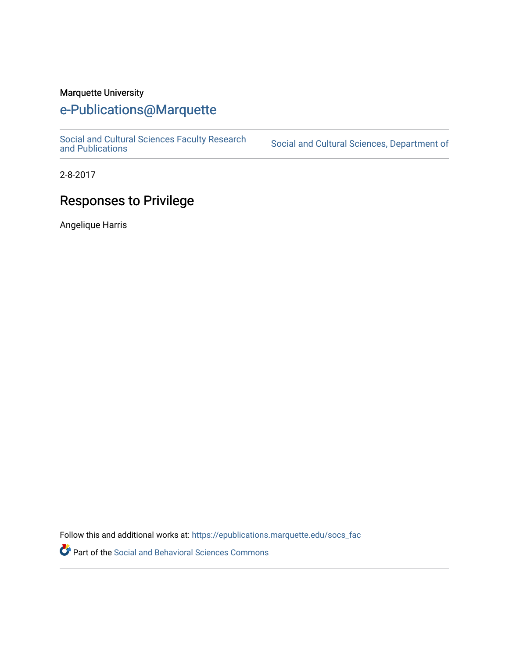## Marquette University

## [e-Publications@Marquette](https://epublications.marquette.edu/)

[Social and Cultural Sciences Faculty Research](https://epublications.marquette.edu/socs_fac) [and Publications](https://epublications.marquette.edu/socs_fac) [Social and Cultural Sciences, Department of](https://epublications.marquette.edu/socs) 

2-8-2017

## Responses to Privilege

Angelique Harris

Follow this and additional works at: [https://epublications.marquette.edu/socs\\_fac](https://epublications.marquette.edu/socs_fac?utm_source=epublications.marquette.edu%2Fsocs_fac%2F267&utm_medium=PDF&utm_campaign=PDFCoverPages)

Part of the [Social and Behavioral Sciences Commons](http://network.bepress.com/hgg/discipline/316?utm_source=epublications.marquette.edu%2Fsocs_fac%2F267&utm_medium=PDF&utm_campaign=PDFCoverPages)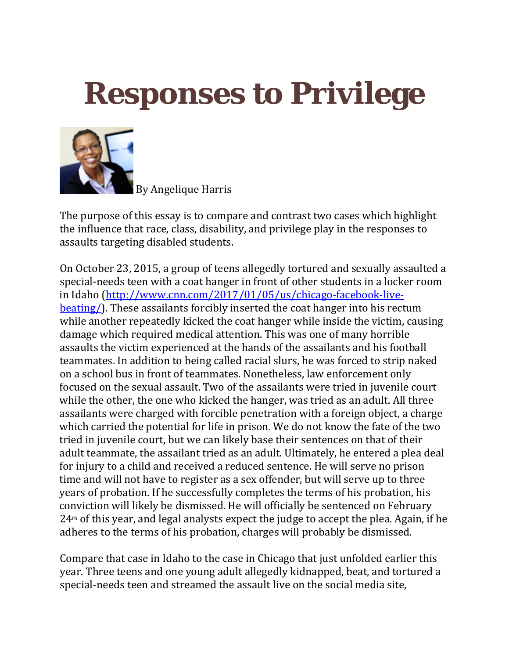## **Responses to Privilege**



By Angelique Harris

The purpose of this essay is to compare and contrast two cases which highlight the influence that race, class, disability, and privilege play in the responses to assaults targeting disabled students.

On October 23, 2015, a group of teens allegedly tortured and sexually assaulted a special-needs teen with a coat hanger in front of other students in a locker room in Idaho [\(http://www.cnn.com/2017/01/05/us/chicago-facebook-live](http://www.cnn.com/2017/01/05/us/chicago-facebook-live-beating/)[beating/\)](http://www.cnn.com/2017/01/05/us/chicago-facebook-live-beating/). These assailants forcibly inserted the coat hanger into his rectum while another repeatedly kicked the coat hanger while inside the victim, causing damage which required medical attention. This was one of many horrible assaults the victim experienced at the hands of the assailants and his football teammates. In addition to being called racial slurs, he was forced to strip naked on a school bus in front of teammates. Nonetheless, law enforcement only focused on the sexual assault. Two of the assailants were tried in juvenile court while the other, the one who kicked the hanger, was tried as an adult. All three assailants were charged with forcible penetration with a foreign object, a charge which carried the potential for life in prison. We do not know the fate of the two tried in juvenile court, but we can likely base their sentences on that of their adult teammate, the assailant tried as an adult. Ultimately, he entered a plea deal for injury to a child and received a reduced sentence. He will serve no prison time and will not have to register as a sex offender, but will serve up to three years of probation. If he successfully completes the terms of his probation, his conviction will likely be dismissed. He will officially be sentenced on February  $24<sup>th</sup>$  of this year, and legal analysts expect the judge to accept the plea. Again, if he adheres to the terms of his probation, charges will probably be dismissed.

Compare that case in Idaho to the case in Chicago that just unfolded earlier this year. Three teens and one young adult allegedly kidnapped, beat, and tortured a special-needs teen and streamed the assault live on the social media site,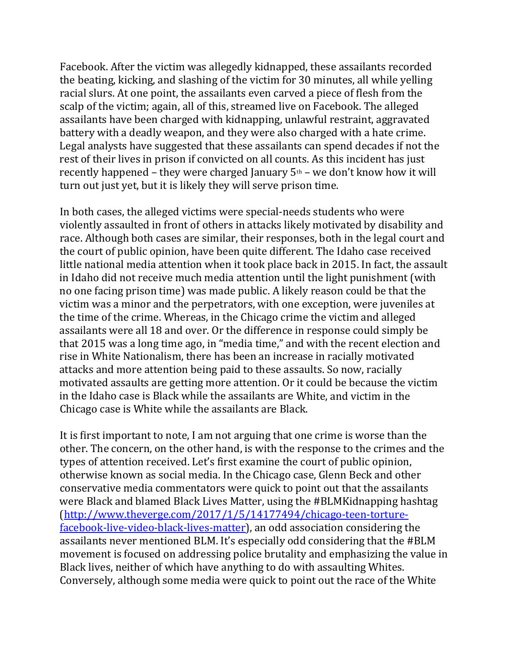Facebook. After the victim was allegedly kidnapped, these assailants recorded the beating, kicking, and slashing of the victim for 30 minutes, all while yelling racial slurs. At one point, the assailants even carved a piece of flesh from the scalp of the victim; again, all of this, streamed live on Facebook. The alleged assailants have been charged with kidnapping, unlawful restraint, aggravated battery with a deadly weapon, and they were also charged with a hate crime. Legal analysts have suggested that these assailants can spend decades if not the rest of their lives in prison if convicted on all counts. As this incident has just recently happened – they were charged January  $5<sup>th</sup>$  – we don't know how it will turn out just yet, but it is likely they will serve prison time.

In both cases, the alleged victims were special-needs students who were violently assaulted in front of others in attacks likely motivated by disability and race. Although both cases are similar, their responses, both in the legal court and the court of public opinion, have been quite different. The Idaho case received little national media attention when it took place back in 2015. In fact, the assault in Idaho did not receive much media attention until the light punishment (with no one facing prison time) was made public. A likely reason could be that the victim was a minor and the perpetrators, with one exception, were juveniles at the time of the crime. Whereas, in the Chicago crime the victim and alleged assailants were all 18 and over. Or the difference in response could simply be that 2015 was a long time ago, in "media time," and with the recent election and rise in White Nationalism, there has been an increase in racially motivated attacks and more attention being paid to these assaults. So now, racially motivated assaults are getting more attention. Or it could be because the victim in the Idaho case is Black while the assailants are White, and victim in the Chicago case is White while the assailants are Black.

It is first important to note, I am not arguing that one crime is worse than the other. The concern, on the other hand, is with the response to the crimes and the types of attention received. Let's first examine the court of public opinion, otherwise known as social media. In the Chicago case, Glenn Beck and other conservative media commentators were quick to point out that the assailants were Black and blamed Black Lives Matter, using the #BLMKidnapping hashtag [\(http://www.theverge.com/2017/1/5/14177494/chicago-teen-torture](http://www.theverge.com/2017/1/5/14177494/chicago-teen-torture-facebook-live-video-black-lives-matter)[facebook-live-video-black-lives-matter\)](http://www.theverge.com/2017/1/5/14177494/chicago-teen-torture-facebook-live-video-black-lives-matter), an odd association considering the assailants never mentioned BLM. It's especially odd considering that the #BLM movement is focused on addressing police brutality and emphasizing the value in Black lives, neither of which have anything to do with assaulting Whites. Conversely, although some media were quick to point out the race of the White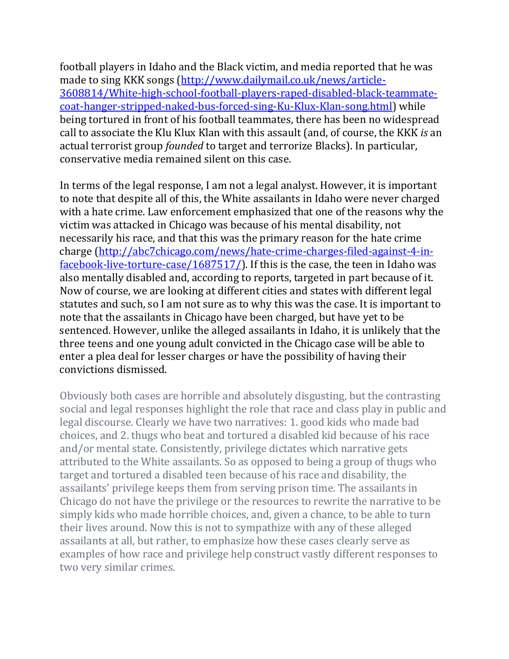football players in Idaho and the Black victim, and media reported that he was made to sing KKK songs [\(http://www.dailymail.co.uk/news/article-](http://www.dailymail.co.uk/news/article-3608814/White-high-school-football-players-raped-disabled-black-teammate-coat-hanger-stripped-naked-bus-forced-sing-Ku-Klux-Klan-song.html)[3608814/White-high-school-football-players-raped-disabled-black-teammate](http://www.dailymail.co.uk/news/article-3608814/White-high-school-football-players-raped-disabled-black-teammate-coat-hanger-stripped-naked-bus-forced-sing-Ku-Klux-Klan-song.html)[coat-hanger-stripped-naked-bus-forced-sing-Ku-Klux-Klan-song.html\)](http://www.dailymail.co.uk/news/article-3608814/White-high-school-football-players-raped-disabled-black-teammate-coat-hanger-stripped-naked-bus-forced-sing-Ku-Klux-Klan-song.html) while being tortured in front of his football teammates, there has been no widespread call to associate the Klu Klux Klan with this assault (and, of course, the KKK *is* an actual terrorist group *founded* to target and terrorize Blacks). In particular, conservative media remained silent on this case.

In terms of the legal response, I am not a legal analyst. However, it is important to note that despite all of this, the White assailants in Idaho were never charged with a hate crime. Law enforcement emphasized that one of the reasons why the victim was attacked in Chicago was because of his mental disability, not necessarily his race, and that this was the primary reason for the hate crime charge [\(http://abc7chicago.com/news/hate-crime-charges-filed-against-4-in](http://abc7chicago.com/news/hate-crime-charges-filed-against-4-in-facebook-live-torture-case/1687517/)[facebook-live-torture-case/1687517/\)](http://abc7chicago.com/news/hate-crime-charges-filed-against-4-in-facebook-live-torture-case/1687517/). If this is the case, the teen in Idaho was also mentally disabled and, according to reports, targeted in part because of it. Now of course, we are looking at different cities and states with different legal statutes and such, so I am not sure as to why this was the case. It is important to note that the assailants in Chicago have been charged, but have yet to be sentenced. However, unlike the alleged assailants in Idaho, it is unlikely that the three teens and one young adult convicted in the Chicago case will be able to enter a plea deal for lesser charges or have the possibility of having their convictions dismissed.

Obviously both cases are horrible and absolutely disgusting, but the contrasting social and legal responses highlight the role that race and class play in public and legal discourse. Clearly we have two narratives: 1. good kids who made bad choices, and 2. thugs who beat and tortured a disabled kid because of his race and/or mental state. Consistently, privilege dictates which narrative gets attributed to the White assailants. So as opposed to being a group of thugs who target and tortured a disabled teen because of his race and disability, the assailants' privilege keeps them from serving prison time. The assailants in Chicago do not have the privilege or the resources to rewrite the narrative to be simply kids who made horrible choices, and, given a chance, to be able to turn their lives around. Now this is not to sympathize with any of these alleged assailants at all, but rather, to emphasize how these cases clearly serve as examples of how race and privilege help construct vastly different responses to two very similar crimes.